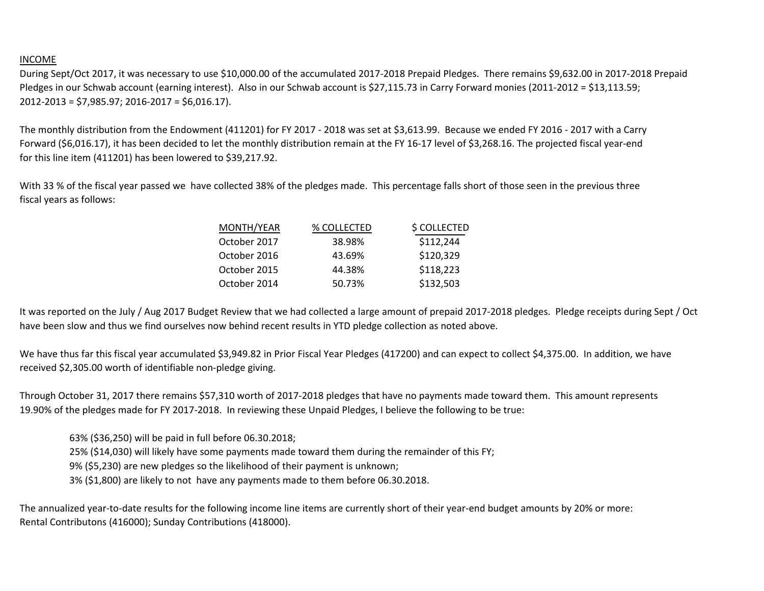## INCOME

During Sept/Oct 2017, it was necessary to use \$10,000.00 of the accumulated 2017-2018 Prepaid Pledges. There remains \$9,632.00 in 2017-2018 Prepaid Pledges in our Schwab account (earning interest). Also in our Schwab account is \$27,115.73 in Carry Forward monies (2011-2012 = \$13,113.59; 2012-2013 = \$7,985.97; 2016-2017 = \$6,016.17).

The monthly distribution from the Endowment (411201) for FY 2017 - 2018 was set at \$3,613.99. Because we ended FY 2016 - 2017 with a Carry Forward (\$6,016.17), it has been decided to let the monthly distribution remain at the FY 16-17 level of \$3,268.16. The projected fiscal year-end for this line item (411201) has been lowered to \$39,217.92.

With 33 % of the fiscal year passed we have collected 38% of the pledges made. This percentage falls short of those seen in the previous three fiscal years as follows:

| MONTH/YEAR   | % COLLECTED | \$ COLLECTED |
|--------------|-------------|--------------|
| October 2017 | 38.98%      | \$112,244    |
| October 2016 | 43.69%      | \$120,329    |
| October 2015 | 44.38%      | \$118,223    |
| October 2014 | 50.73%      | \$132,503    |

It was reported on the July / Aug 2017 Budget Review that we had collected a large amount of prepaid 2017-2018 pledges. Pledge receipts during Sept / Oct have been slow and thus we find ourselves now behind recent results in YTD pledge collection as noted above.

We have thus far this fiscal year accumulated \$3,949.82 in Prior Fiscal Year Pledges (417200) and can expect to collect \$4,375.00. In addition, we have received \$2,305.00 worth of identifiable non-pledge giving.

Through October 31, 2017 there remains \$57,310 worth of 2017-2018 pledges that have no payments made toward them. This amount represents 19.90% of the pledges made for FY 2017-2018. In reviewing these Unpaid Pledges, I believe the following to be true:

63% (\$36,250) will be paid in full before 06.30.2018; 25% (\$14,030) will likely have some payments made toward them during the remainder of this FY; 9% (\$5,230) are new pledges so the likelihood of their payment is unknown; 3% (\$1,800) are likely to not have any payments made to them before 06.30.2018.

The annualized year-to-date results for the following income line items are currently short of their year-end budget amounts by 20% or more: Rental Contributons (416000); Sunday Contributions (418000).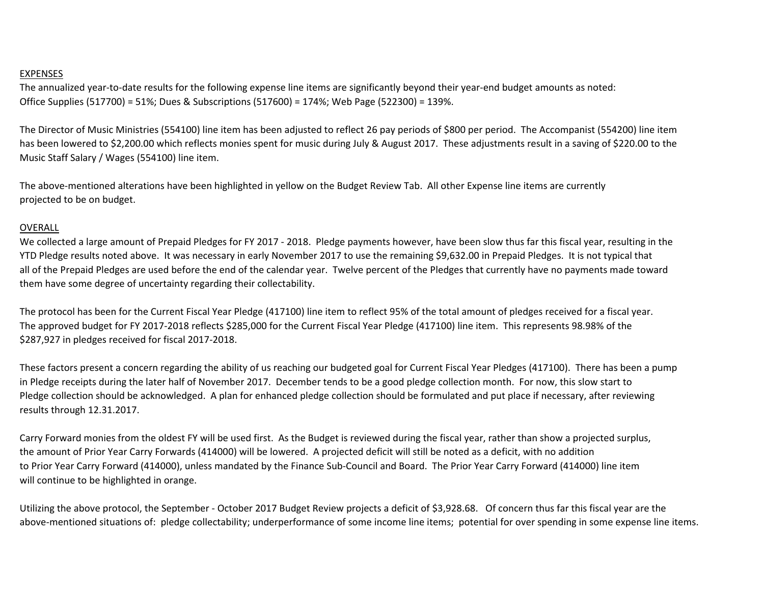## EXPENSES

The annualized year-to-date results for the following expense line items are significantly beyond their year-end budget amounts as noted: Office Supplies (517700) = 51%; Dues & Subscriptions (517600) = 174%; Web Page (522300) = 139%.

The Director of Music Ministries (554100) line item has been adjusted to reflect 26 pay periods of \$800 per period. The Accompanist (554200) line item has been lowered to \$2,200.00 which reflects monies spent for music during July & August 2017. These adjustments result in a saving of \$220.00 to the Music Staff Salary / Wages (554100) line item.

The above-mentioned alterations have been highlighted in yellow on the Budget Review Tab. All other Expense line items are currently projected to be on budget.

## OVERALL

We collected a large amount of Prepaid Pledges for FY 2017 - 2018. Pledge payments however, have been slow thus far this fiscal year, resulting in the YTD Pledge results noted above. It was necessary in early November 2017 to use the remaining \$9,632.00 in Prepaid Pledges. It is not typical that all of the Prepaid Pledges are used before the end of the calendar year. Twelve percent of the Pledges that currently have no payments made toward them have some degree of uncertainty regarding their collectability.

The protocol has been for the Current Fiscal Year Pledge (417100) line item to reflect 95% of the total amount of pledges received for a fiscal year. The approved budget for FY 2017-2018 reflects \$285,000 for the Current Fiscal Year Pledge (417100) line item. This represents 98.98% of the \$287,927 in pledges received for fiscal 2017-2018.

These factors present a concern regarding the ability of us reaching our budgeted goal for Current Fiscal Year Pledges (417100). There has been a pump in Pledge receipts during the later half of November 2017. December tends to be a good pledge collection month. For now, this slow start to Pledge collection should be acknowledged. A plan for enhanced pledge collection should be formulated and put place if necessary, after reviewing results through 12.31.2017.

Carry Forward monies from the oldest FY will be used first. As the Budget is reviewed during the fiscal year, rather than show a projected surplus, the amount of Prior Year Carry Forwards (414000) will be lowered. A projected deficit will still be noted as a deficit, with no addition to Prior Year Carry Forward (414000), unless mandated by the Finance Sub-Council and Board. The Prior Year Carry Forward (414000) line item will continue to be highlighted in orange.

Utilizing the above protocol, the September - October 2017 Budget Review projects a deficit of \$3,928.68. Of concern thus far this fiscal year are the above-mentioned situations of: pledge collectability; underperformance of some income line items; potential for over spending in some expense line items.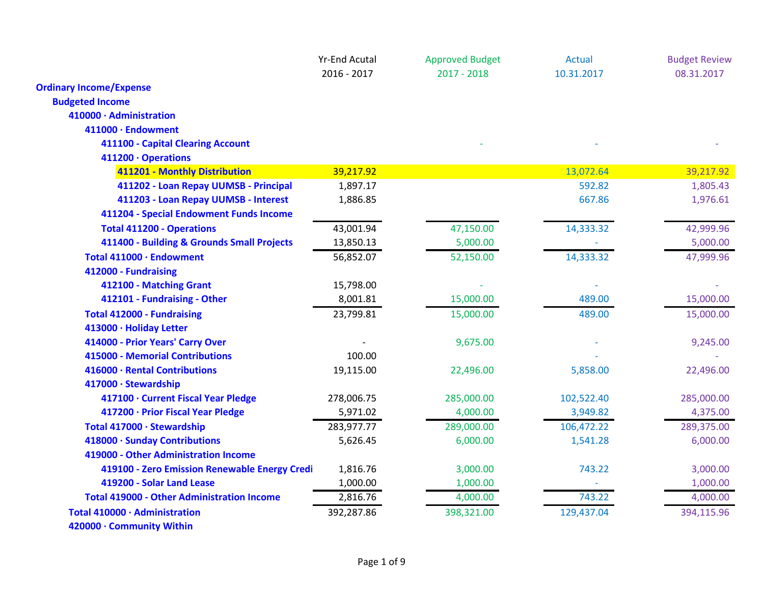|                                                   | <b>Yr-End Acutal</b> | <b>Approved Budget</b> | <b>Actual</b> | <b>Budget Review</b> |
|---------------------------------------------------|----------------------|------------------------|---------------|----------------------|
|                                                   | 2016 - 2017          | $2017 - 2018$          | 10.31.2017    | 08.31.2017           |
| <b>Ordinary Income/Expense</b>                    |                      |                        |               |                      |
| <b>Budgeted Income</b>                            |                      |                        |               |                      |
| 410000 · Administration                           |                      |                        |               |                      |
| 411000 · Endowment                                |                      |                        |               |                      |
| 411100 - Capital Clearing Account                 |                      |                        |               |                      |
| 411200 · Operations                               |                      |                        |               |                      |
| 411201 - Monthly Distribution                     | 39,217.92            |                        | 13,072.64     | 39,217.92            |
| 411202 - Loan Repay UUMSB - Principal             | 1,897.17             |                        | 592.82        | 1,805.43             |
| 411203 - Loan Repay UUMSB - Interest              | 1,886.85             |                        | 667.86        | 1,976.61             |
| 411204 - Special Endowment Funds Income           |                      |                        |               |                      |
| <b>Total 411200 - Operations</b>                  | 43,001.94            | 47,150.00              | 14,333.32     | 42,999.96            |
| 411400 - Building & Grounds Small Projects        | 13,850.13            | 5,000.00               |               | 5,000.00             |
| Total 411000 · Endowment                          | 56,852.07            | 52,150.00              | 14,333.32     | 47,999.96            |
| 412000 - Fundraising                              |                      |                        |               |                      |
| 412100 - Matching Grant                           | 15,798.00            |                        |               |                      |
| 412101 - Fundraising - Other                      | 8,001.81             | 15,000.00              | 489.00        | 15,000.00            |
| <b>Total 412000 - Fundraising</b>                 | 23,799.81            | 15,000.00              | 489.00        | 15,000.00            |
| 413000 · Holiday Letter                           |                      |                        |               |                      |
| 414000 - Prior Years' Carry Over                  |                      | 9,675.00               |               | 9,245.00             |
| 415000 - Memorial Contributions                   | 100.00               |                        |               |                      |
| 416000 · Rental Contributions                     | 19,115.00            | 22,496.00              | 5,858.00      | 22,496.00            |
| 417000 · Stewardship                              |                      |                        |               |                      |
| 417100 · Current Fiscal Year Pledge               | 278,006.75           | 285,000.00             | 102,522.40    | 285,000.00           |
| 417200 · Prior Fiscal Year Pledge                 | 5,971.02             | 4,000.00               | 3,949.82      | 4,375.00             |
| Total 417000 · Stewardship                        | 283,977.77           | 289,000.00             | 106,472.22    | 289,375.00           |
| 418000 · Sunday Contributions                     | 5,626.45             | 6,000.00               | 1,541.28      | 6,000.00             |
| 419000 - Other Administration Income              |                      |                        |               |                      |
| 419100 - Zero Emission Renewable Energy Credi     | 1,816.76             | 3,000.00               | 743.22        | 3,000.00             |
| 419200 - Solar Land Lease                         | 1,000.00             | 1,000.00               |               | 1,000.00             |
| <b>Total 419000 - Other Administration Income</b> | 2,816.76             | 4,000.00               | 743.22        | 4,000.00             |
| Total 410000 · Administration                     | 392,287.86           | 398,321.00             | 129,437.04    | 394,115.96           |
| 420000 · Community Within                         |                      |                        |               |                      |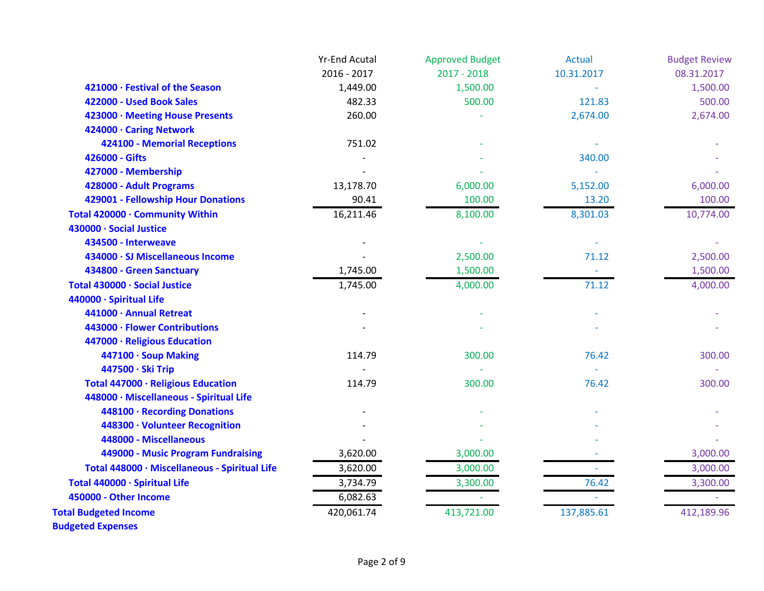|                                               | <b>Yr-End Acutal</b> | <b>Approved Budget</b> | Actual     | <b>Budget Review</b> |
|-----------------------------------------------|----------------------|------------------------|------------|----------------------|
|                                               | 2016 - 2017          | $2017 - 2018$          | 10.31.2017 | 08.31.2017           |
| 421000 · Festival of the Season               | 1,449.00             | 1,500.00               |            | 1,500.00             |
| 422000 - Used Book Sales                      | 482.33               | 500.00                 | 121.83     | 500.00               |
| 423000 · Meeting House Presents               | 260.00               |                        | 2,674.00   | 2,674.00             |
| 424000 · Caring Network                       |                      |                        |            |                      |
| 424100 - Memorial Receptions                  | 751.02               |                        |            |                      |
| 426000 - Gifts                                |                      |                        | 340.00     |                      |
| 427000 - Membership                           |                      |                        |            |                      |
| 428000 - Adult Programs                       | 13,178.70            | 6,000.00               | 5,152.00   | 6,000.00             |
| 429001 - Fellowship Hour Donations            | 90.41                | 100.00                 | 13.20      | 100.00               |
| Total 420000 · Community Within               | 16,211.46            | 8,100.00               | 8,301.03   | 10,774.00            |
| 430000 · Social Justice                       |                      |                        |            |                      |
| 434500 - Interweave                           |                      |                        |            |                      |
| 434000 · SJ Miscellaneous Income              |                      | 2,500.00               | 71.12      | 2,500.00             |
| 434800 - Green Sanctuary                      | 1,745.00             | 1,500.00               |            | 1,500.00             |
| Total 430000 · Social Justice                 | 1,745.00             | 4,000.00               | 71.12      | 4,000.00             |
| 440000 · Spiritual Life                       |                      |                        |            |                      |
| 441000 · Annual Retreat                       |                      |                        |            |                      |
| 443000 · Flower Contributions                 |                      |                        |            |                      |
| 447000 · Religious Education                  |                      |                        |            |                      |
| 447100 · Soup Making                          | 114.79               | 300.00                 | 76.42      | 300.00               |
| 447500 · Ski Trip                             |                      |                        |            |                      |
| Total 447000 · Religious Education            | 114.79               | 300.00                 | 76.42      | 300.00               |
| 448000 · Miscellaneous - Spiritual Life       |                      |                        |            |                      |
| 448100 · Recording Donations                  |                      |                        |            |                      |
| 448300 · Volunteer Recognition                |                      |                        |            |                      |
| 448000 - Miscellaneous                        |                      |                        |            |                      |
| 449000 - Music Program Fundraising            | 3,620.00             | 3,000.00               |            | 3,000.00             |
| Total 448000 · Miscellaneous - Spiritual Life | 3,620.00             | 3,000.00               |            | 3,000.00             |
| Total 440000 · Spiritual Life                 | 3,734.79             | 3,300.00               | 76.42      | 3,300.00             |
| 450000 - Other Income                         | 6,082.63             |                        |            |                      |
| <b>Total Budgeted Income</b>                  | 420,061.74           | 413,721.00             | 137,885.61 | 412,189.96           |
| <b>Budgeted Expenses</b>                      |                      |                        |            |                      |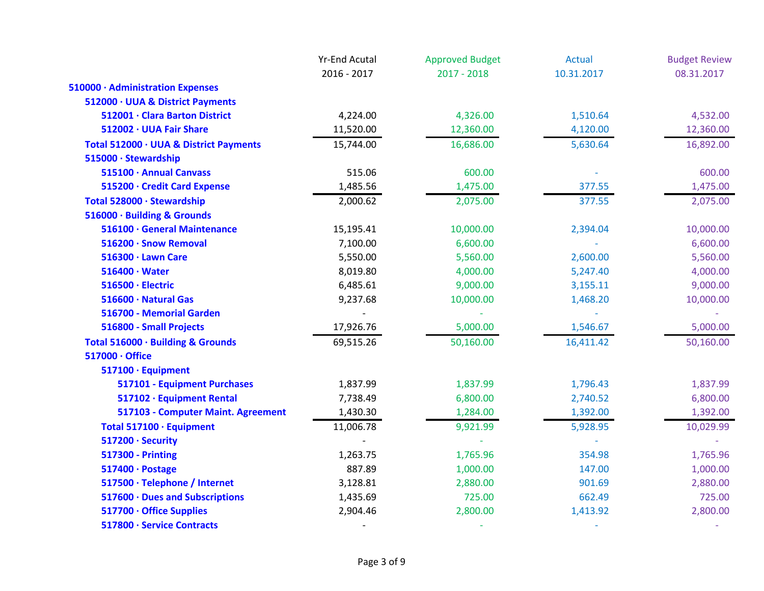|                                        | <b>Yr-End Acutal</b><br>2016 - 2017 | <b>Approved Budget</b><br>$2017 - 2018$ | Actual<br>10.31.2017 | <b>Budget Review</b><br>08.31.2017 |
|----------------------------------------|-------------------------------------|-----------------------------------------|----------------------|------------------------------------|
|                                        |                                     |                                         |                      |                                    |
| 510000 · Administration Expenses       |                                     |                                         |                      |                                    |
| 512000 · UUA & District Payments       |                                     |                                         |                      |                                    |
| 512001 · Clara Barton District         | 4,224.00                            | 4,326.00                                | 1,510.64             | 4,532.00                           |
| 512002 · UUA Fair Share                | 11,520.00                           | 12,360.00                               | 4,120.00             | 12,360.00                          |
| Total 512000 · UUA & District Payments | 15,744.00                           | 16,686.00                               | 5,630.64             | 16,892.00                          |
| 515000 · Stewardship                   |                                     |                                         |                      |                                    |
| 515100 · Annual Canvass                | 515.06                              | 600.00                                  |                      | 600.00                             |
| 515200 · Credit Card Expense           | 1,485.56                            | 1,475.00                                | 377.55               | 1,475.00                           |
| Total 528000 · Stewardship             | 2,000.62                            | 2,075.00                                | 377.55               | 2,075.00                           |
| 516000 · Building & Grounds            |                                     |                                         |                      |                                    |
| 516100 · General Maintenance           | 15,195.41                           | 10,000.00                               | 2,394.04             | 10,000.00                          |
| 516200 · Snow Removal                  | 7,100.00                            | 6,600.00                                |                      | 6,600.00                           |
| 516300 · Lawn Care                     | 5,550.00                            | 5,560.00                                | 2,600.00             | 5,560.00                           |
| $516400 \cdot Water$                   | 8,019.80                            | 4,000.00                                | 5,247.40             | 4,000.00                           |
| 516500 · Electric                      | 6,485.61                            | 9,000.00                                | 3,155.11             | 9,000.00                           |
| 516600 · Natural Gas                   | 9,237.68                            | 10,000.00                               | 1,468.20             | 10,000.00                          |
| 516700 - Memorial Garden               |                                     |                                         |                      |                                    |
| 516800 - Small Projects                | 17,926.76                           | 5,000.00                                | 1,546.67             | 5,000.00                           |
| Total 516000 · Building & Grounds      | 69,515.26                           | 50,160.00                               | 16,411.42            | 50,160.00                          |
| 517000 · Office                        |                                     |                                         |                      |                                    |
| 517100 · Equipment                     |                                     |                                         |                      |                                    |
| 517101 - Equipment Purchases           | 1,837.99                            | 1,837.99                                | 1,796.43             | 1,837.99                           |
| 517102 · Equipment Rental              | 7,738.49                            | 6,800.00                                | 2,740.52             | 6,800.00                           |
| 517103 - Computer Maint. Agreement     | 1,430.30                            | 1,284.00                                | 1,392.00             | 1,392.00                           |
| Total 517100 · Equipment               | 11,006.78                           | 9,921.99                                | 5,928.95             | 10,029.99                          |
| 517200 · Security                      |                                     |                                         |                      |                                    |
| <b>517300 - Printing</b>               | 1,263.75                            | 1,765.96                                | 354.98               | 1,765.96                           |
| 517400 · Postage                       | 887.89                              | 1,000.00                                | 147.00               | 1,000.00                           |
| 517500 · Telephone / Internet          | 3,128.81                            | 2,880.00                                | 901.69               | 2,880.00                           |
| 517600 · Dues and Subscriptions        | 1,435.69                            | 725.00                                  | 662.49               | 725.00                             |
| 517700 · Office Supplies               | 2,904.46                            | 2,800.00                                | 1,413.92             | 2,800.00                           |
| 517800 · Service Contracts             | $\overline{\phantom{a}}$            |                                         |                      |                                    |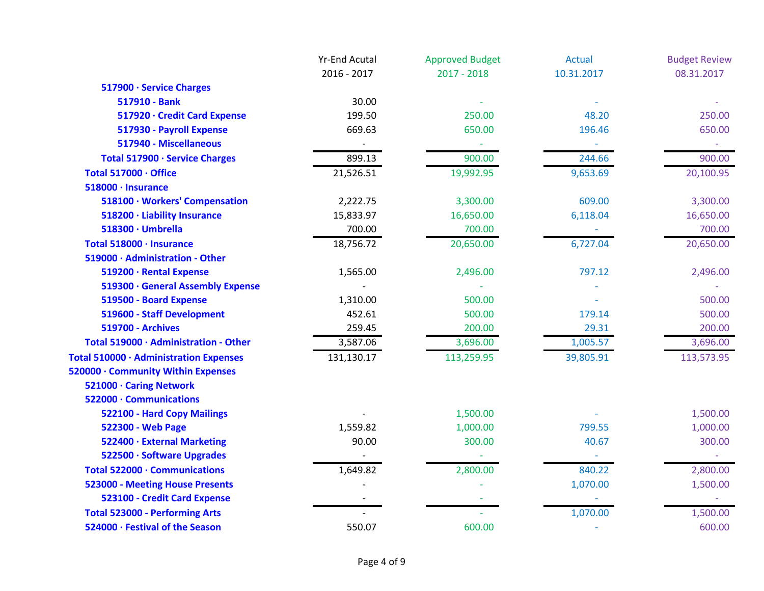|                                        | <b>Yr-End Acutal</b> | <b>Approved Budget</b> | <b>Actual</b> | <b>Budget Review</b> |
|----------------------------------------|----------------------|------------------------|---------------|----------------------|
|                                        | 2016 - 2017          | $2017 - 2018$          | 10.31.2017    | 08.31.2017           |
| 517900 · Service Charges               |                      |                        |               |                      |
| 517910 - Bank                          | 30.00                |                        |               |                      |
| 517920 · Credit Card Expense           | 199.50               | 250.00                 | 48.20         | 250.00               |
| 517930 - Payroll Expense               | 669.63               | 650.00                 | 196.46        | 650.00               |
| 517940 - Miscellaneous                 |                      |                        |               |                      |
| Total 517900 · Service Charges         | 899.13               | 900.00                 | 244.66        | 900.00               |
| Total 517000 · Office                  | 21,526.51            | 19,992.95              | 9,653.69      | 20,100.95            |
| 518000 · Insurance                     |                      |                        |               |                      |
| 518100 · Workers' Compensation         | 2,222.75             | 3,300.00               | 609.00        | 3,300.00             |
| 518200 · Liability Insurance           | 15,833.97            | 16,650.00              | 6,118.04      | 16,650.00            |
| 518300 · Umbrella                      | 700.00               | 700.00                 |               | 700.00               |
| Total 518000 · Insurance               | 18,756.72            | 20,650.00              | 6,727.04      | 20,650.00            |
| 519000 · Administration - Other        |                      |                        |               |                      |
| 519200 · Rental Expense                | 1,565.00             | 2,496.00               | 797.12        | 2,496.00             |
| 519300 · General Assembly Expense      |                      |                        |               |                      |
| 519500 - Board Expense                 | 1,310.00             | 500.00                 |               | 500.00               |
| 519600 - Staff Development             | 452.61               | 500.00                 | 179.14        | 500.00               |
| <b>519700 - Archives</b>               | 259.45               | 200.00                 | 29.31         | 200.00               |
| Total 519000 · Administration - Other  | 3,587.06             | 3,696.00               | 1,005.57      | 3,696.00             |
| Total 510000 · Administration Expenses | 131,130.17           | 113,259.95             | 39,805.91     | 113,573.95           |
| 520000 · Community Within Expenses     |                      |                        |               |                      |
| 521000 · Caring Network                |                      |                        |               |                      |
| 522000 · Communications                |                      |                        |               |                      |
| 522100 - Hard Copy Mailings            |                      | 1,500.00               |               | 1,500.00             |
| 522300 - Web Page                      | 1,559.82             | 1,000.00               | 799.55        | 1,000.00             |
| 522400 · External Marketing            | 90.00                | 300.00                 | 40.67         | 300.00               |
| 522500 · Software Upgrades             |                      |                        |               |                      |
| Total 522000 · Communications          | 1,649.82             | 2,800.00               | 840.22        | 2,800.00             |
| <b>523000 - Meeting House Presents</b> |                      |                        | 1,070.00      | 1,500.00             |
| 523100 - Credit Card Expense           |                      |                        |               |                      |
| <b>Total 523000 - Performing Arts</b>  |                      |                        | 1,070.00      | 1,500.00             |
| 524000 · Festival of the Season        | 550.07               | 600.00                 |               | 600.00               |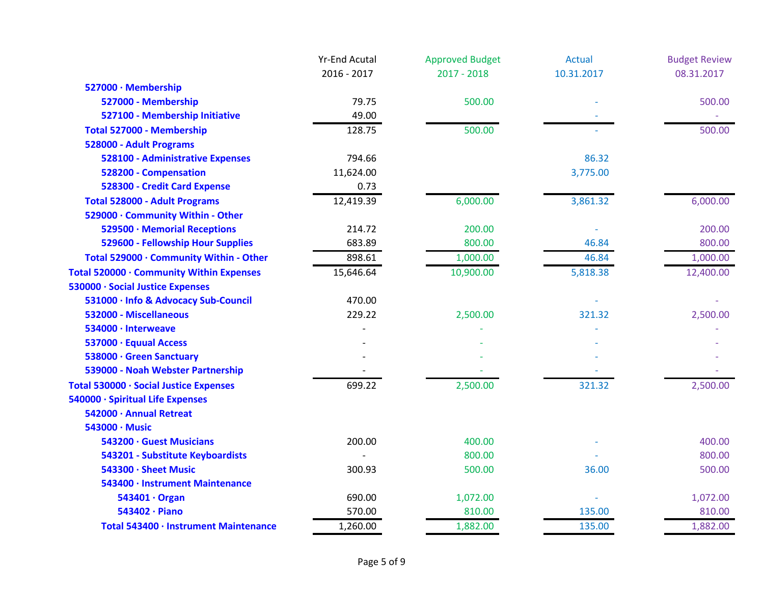|                                          | <b>Yr-End Acutal</b> | <b>Approved Budget</b> | <b>Actual</b> | <b>Budget Review</b> |
|------------------------------------------|----------------------|------------------------|---------------|----------------------|
|                                          | 2016 - 2017          | $2017 - 2018$          | 10.31.2017    | 08.31.2017           |
| 527000 · Membership                      |                      |                        |               |                      |
| 527000 - Membership                      | 79.75                | 500.00                 |               | 500.00               |
| 527100 - Membership Initiative           | 49.00                |                        |               |                      |
| Total 527000 - Membership                | 128.75               | 500.00                 |               | 500.00               |
| 528000 - Adult Programs                  |                      |                        |               |                      |
| 528100 - Administrative Expenses         | 794.66               |                        | 86.32         |                      |
| 528200 - Compensation                    | 11,624.00            |                        | 3,775.00      |                      |
| 528300 - Credit Card Expense             | 0.73                 |                        |               |                      |
| <b>Total 528000 - Adult Programs</b>     | 12,419.39            | 6,000.00               | 3,861.32      | 6,000.00             |
| 529000 · Community Within - Other        |                      |                        |               |                      |
| 529500 · Memorial Receptions             | 214.72               | 200.00                 |               | 200.00               |
| 529600 - Fellowship Hour Supplies        | 683.89               | 800.00                 | 46.84         | 800.00               |
| Total 529000 · Community Within - Other  | 898.61               | 1,000.00               | 46.84         | 1,000.00             |
| Total 520000 · Community Within Expenses | 15,646.64            | 10,900.00              | 5,818.38      | 12,400.00            |
| 530000 · Social Justice Expenses         |                      |                        |               |                      |
| 531000 · Info & Advocacy Sub-Council     | 470.00               |                        |               |                      |
| 532000 - Miscellaneous                   | 229.22               | 2,500.00               | 321.32        | 2,500.00             |
| 534000 · Interweave                      |                      |                        |               |                      |
| 537000 · Equual Access                   |                      |                        |               |                      |
| 538000 · Green Sanctuary                 |                      |                        |               |                      |
| 539000 - Noah Webster Partnership        |                      |                        |               |                      |
| Total 530000 · Social Justice Expenses   | 699.22               | 2,500.00               | 321.32        | 2,500.00             |
| 540000 · Spiritual Life Expenses         |                      |                        |               |                      |
| 542000 · Annual Retreat                  |                      |                        |               |                      |
| 543000 · Music                           |                      |                        |               |                      |
| 543200 · Guest Musicians                 | 200.00               | 400.00                 |               | 400.00               |
| 543201 - Substitute Keyboardists         |                      | 800.00                 |               | 800.00               |
| 543300 · Sheet Music                     | 300.93               | 500.00                 | 36.00         | 500.00               |
| 543400 · Instrument Maintenance          |                      |                        |               |                      |
| 543401 · Organ                           | 690.00               | 1,072.00               |               | 1,072.00             |
| 543402 · Piano                           | 570.00               | 810.00                 | 135.00        | 810.00               |
| Total 543400 · Instrument Maintenance    | 1,260.00             | 1,882.00               | 135.00        | 1,882.00             |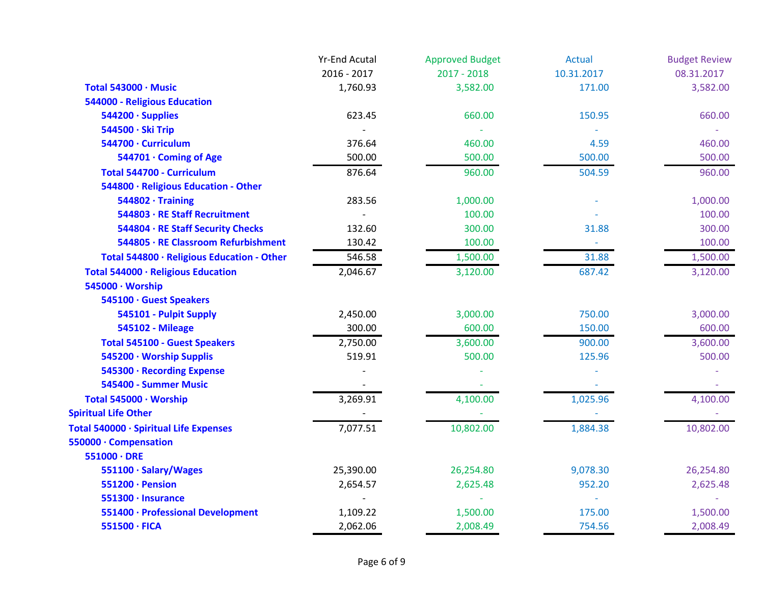|                                            | <b>Yr-End Acutal</b> | <b>Approved Budget</b> | <b>Actual</b> | <b>Budget Review</b> |
|--------------------------------------------|----------------------|------------------------|---------------|----------------------|
|                                            | 2016 - 2017          | $2017 - 2018$          | 10.31.2017    | 08.31.2017           |
| Total 543000 · Music                       | 1,760.93             | 3,582.00               | 171.00        | 3,582.00             |
| 544000 - Religious Education               |                      |                        |               |                      |
| 544200 · Supplies                          | 623.45               | 660.00                 | 150.95        | 660.00               |
| 544500 · Ski Trip                          |                      |                        |               |                      |
| 544700 · Curriculum                        | 376.64               | 460.00                 | 4.59          | 460.00               |
| 544701 · Coming of Age                     | 500.00               | 500.00                 | 500.00        | 500.00               |
| Total 544700 - Curriculum                  | 876.64               | 960.00                 | 504.59        | 960.00               |
| 544800 · Religious Education - Other       |                      |                        |               |                      |
| $544802 \cdot$ Training                    | 283.56               | 1,000.00               |               | 1,000.00             |
| 544803 · RE Staff Recruitment              |                      | 100.00                 |               | 100.00               |
| 544804 · RE Staff Security Checks          | 132.60               | 300.00                 | 31.88         | 300.00               |
| 544805 · RE Classroom Refurbishment        | 130.42               | 100.00                 | $\omega$      | 100.00               |
| Total 544800 · Religious Education - Other | 546.58               | 1,500.00               | 31.88         | 1,500.00             |
| Total 544000 · Religious Education         | 2,046.67             | 3,120.00               | 687.42        | 3,120.00             |
| 545000 · Worship                           |                      |                        |               |                      |
| 545100 · Guest Speakers                    |                      |                        |               |                      |
| 545101 - Pulpit Supply                     | 2,450.00             | 3,000.00               | 750.00        | 3,000.00             |
| <b>545102 - Mileage</b>                    | 300.00               | 600.00                 | 150.00        | 600.00               |
| <b>Total 545100 - Guest Speakers</b>       | 2,750.00             | 3,600.00               | 900.00        | 3,600.00             |
| 545200 · Worship Supplis                   | 519.91               | 500.00                 | 125.96        | 500.00               |
| 545300 · Recording Expense                 |                      |                        |               |                      |
| 545400 - Summer Music                      |                      |                        |               |                      |
| Total 545000 · Worship                     | 3,269.91             | 4,100.00               | 1,025.96      | 4,100.00             |
| <b>Spiritual Life Other</b>                |                      |                        |               |                      |
| Total 540000 · Spiritual Life Expenses     | 7,077.51             | 10,802.00              | 1,884.38      | 10,802.00            |
| 550000 · Compensation                      |                      |                        |               |                      |
| $551000 \cdot DRE$                         |                      |                        |               |                      |
| 551100 · Salary/Wages                      | 25,390.00            | 26,254.80              | 9,078.30      | 26,254.80            |
| 551200 · Pension                           | 2,654.57             | 2,625.48               | 952.20        | 2,625.48             |
| 551300 · Insurance                         |                      |                        |               |                      |
| 551400 · Professional Development          | 1,109.22             | 1,500.00               | 175.00        | 1,500.00             |
| 551500 · FICA                              | 2,062.06             | 2,008.49               | 754.56        | 2,008.49             |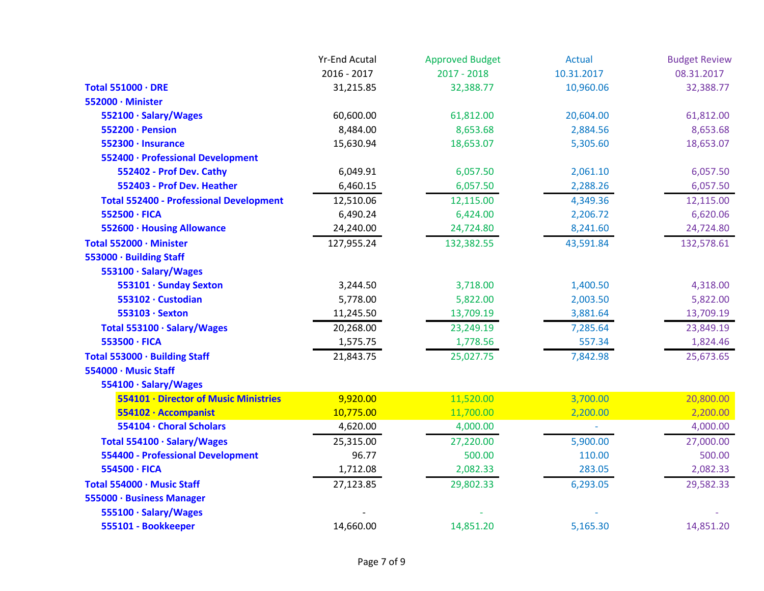|                                                | <b>Yr-End Acutal</b> | <b>Approved Budget</b> | <b>Actual</b> | <b>Budget Review</b> |
|------------------------------------------------|----------------------|------------------------|---------------|----------------------|
|                                                | 2016 - 2017          | $2017 - 2018$          | 10.31.2017    | 08.31.2017           |
| Total 551000 · DRE                             | 31,215.85            | 32,388.77              | 10,960.06     | 32,388.77            |
| 552000 · Minister                              |                      |                        |               |                      |
| 552100 · Salary/Wages                          | 60,600.00            | 61,812.00              | 20,604.00     | 61,812.00            |
| 552200 · Pension                               | 8,484.00             | 8,653.68               | 2,884.56      | 8,653.68             |
| 552300 · Insurance                             | 15,630.94            | 18,653.07              | 5,305.60      | 18,653.07            |
| 552400 · Professional Development              |                      |                        |               |                      |
| 552402 - Prof Dev. Cathy                       | 6,049.91             | 6,057.50               | 2,061.10      | 6,057.50             |
| 552403 - Prof Dev. Heather                     | 6,460.15             | 6,057.50               | 2,288.26      | 6,057.50             |
| <b>Total 552400 - Professional Development</b> | 12,510.06            | 12,115.00              | 4,349.36      | 12,115.00            |
| 552500 · FICA                                  | 6,490.24             | 6,424.00               | 2,206.72      | 6,620.06             |
| 552600 · Housing Allowance                     | 24,240.00            | 24,724.80              | 8,241.60      | 24,724.80            |
| Total 552000 · Minister                        | 127,955.24           | 132,382.55             | 43,591.84     | 132,578.61           |
| 553000 · Building Staff                        |                      |                        |               |                      |
| 553100 · Salary/Wages                          |                      |                        |               |                      |
| 553101 · Sunday Sexton                         | 3,244.50             | 3,718.00               | 1,400.50      | 4,318.00             |
| 553102 · Custodian                             | 5,778.00             | 5,822.00               | 2,003.50      | 5,822.00             |
| 553103 · Sexton                                | 11,245.50            | 13,709.19              | 3,881.64      | 13,709.19            |
| Total 553100 · Salary/Wages                    | 20,268.00            | 23,249.19              | 7,285.64      | 23,849.19            |
| 553500 · FICA                                  | 1,575.75             | 1,778.56               | 557.34        | 1,824.46             |
| Total 553000 · Building Staff                  | 21,843.75            | 25,027.75              | 7,842.98      | 25,673.65            |
| 554000 · Music Staff                           |                      |                        |               |                      |
| 554100 · Salary/Wages                          |                      |                        |               |                      |
| 554101 · Director of Music Ministries          | 9,920.00             | 11,520.00              | 3,700.00      | 20,800.00            |
| 554102 · Accompanist                           | 10,775.00            | 11,700.00              | 2,200.00      | 2,200.00             |
| 554104 · Choral Scholars                       | 4,620.00             | 4,000.00               |               | 4,000.00             |
| Total 554100 · Salary/Wages                    | 25,315.00            | 27,220.00              | 5,900.00      | 27,000.00            |
| <b>554400 - Professional Development</b>       | 96.77                | 500.00                 | 110.00        | 500.00               |
| 554500 · FICA                                  | 1,712.08             | 2,082.33               | 283.05        | 2,082.33             |
| Total 554000 · Music Staff                     | 27,123.85            | 29,802.33              | 6,293.05      | 29,582.33            |
| 555000 · Business Manager                      |                      |                        |               |                      |
| 555100 · Salary/Wages                          |                      |                        |               |                      |
| 555101 - Bookkeeper                            | 14,660.00            | 14,851.20              | 5,165.30      | 14,851.20            |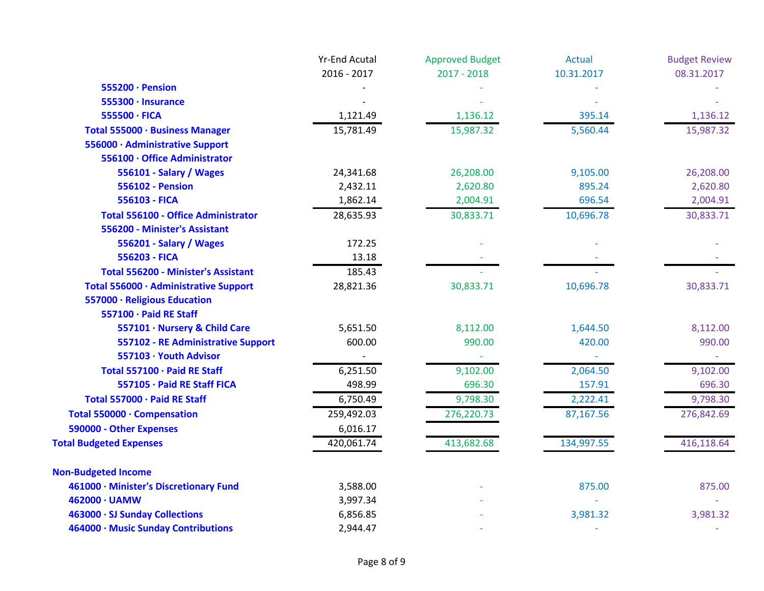|                                            | <b>Yr-End Acutal</b> | <b>Approved Budget</b> | <b>Actual</b> | <b>Budget Review</b> |
|--------------------------------------------|----------------------|------------------------|---------------|----------------------|
|                                            | 2016 - 2017          | $2017 - 2018$          | 10.31.2017    | 08.31.2017           |
| 555200 · Pension                           |                      |                        |               |                      |
| 555300 · Insurance                         |                      |                        |               |                      |
| 555500 · FICA                              | 1,121.49             | 1,136.12               | 395.14        | 1,136.12             |
| Total 555000 · Business Manager            | 15,781.49            | 15,987.32              | 5,560.44      | 15,987.32            |
| 556000 · Administrative Support            |                      |                        |               |                      |
| 556100 · Office Administrator              |                      |                        |               |                      |
| 556101 - Salary / Wages                    | 24,341.68            | 26,208.00              | 9,105.00      | 26,208.00            |
| <b>556102 - Pension</b>                    | 2,432.11             | 2,620.80               | 895.24        | 2,620.80             |
| 556103 - FICA                              | 1,862.14             | 2,004.91               | 696.54        | 2,004.91             |
| <b>Total 556100 - Office Administrator</b> | 28,635.93            | 30,833.71              | 10,696.78     | 30,833.71            |
| 556200 - Minister's Assistant              |                      |                        |               |                      |
| 556201 - Salary / Wages                    | 172.25               |                        |               |                      |
| 556203 - FICA                              | 13.18                |                        |               |                      |
| <b>Total 556200 - Minister's Assistant</b> | 185.43               |                        |               |                      |
| Total 556000 · Administrative Support      | 28,821.36            | 30,833.71              | 10,696.78     | 30,833.71            |
| 557000 · Religious Education               |                      |                        |               |                      |
| 557100 · Paid RE Staff                     |                      |                        |               |                      |
| 557101 · Nursery & Child Care              | 5,651.50             | 8,112.00               | 1,644.50      | 8,112.00             |
| 557102 - RE Administrative Support         | 600.00               | 990.00                 | 420.00        | 990.00               |
| 557103 · Youth Advisor                     |                      |                        |               |                      |
| Total 557100 · Paid RE Staff               | 6,251.50             | 9,102.00               | 2,064.50      | 9,102.00             |
| 557105 · Paid RE Staff FICA                | 498.99               | 696.30                 | 157.91        | 696.30               |
| Total 557000 · Paid RE Staff               | 6,750.49             | 9,798.30               | 2,222.41      | 9,798.30             |
| Total 550000 · Compensation                | 259,492.03           | 276,220.73             | 87,167.56     | 276,842.69           |
| 590000 - Other Expenses                    | 6,016.17             |                        |               |                      |
| <b>Total Budgeted Expenses</b>             | 420,061.74           | 413,682.68             | 134,997.55    | 416,118.64           |
| <b>Non-Budgeted Income</b>                 |                      |                        |               |                      |
| 461000 · Minister's Discretionary Fund     | 3,588.00             |                        | 875.00        | 875.00               |
| 462000 · UAMW                              | 3,997.34             |                        |               |                      |
| 463000 · SJ Sunday Collections             | 6,856.85             |                        | 3,981.32      | 3,981.32             |
| 464000 · Music Sunday Contributions        | 2,944.47             |                        |               |                      |